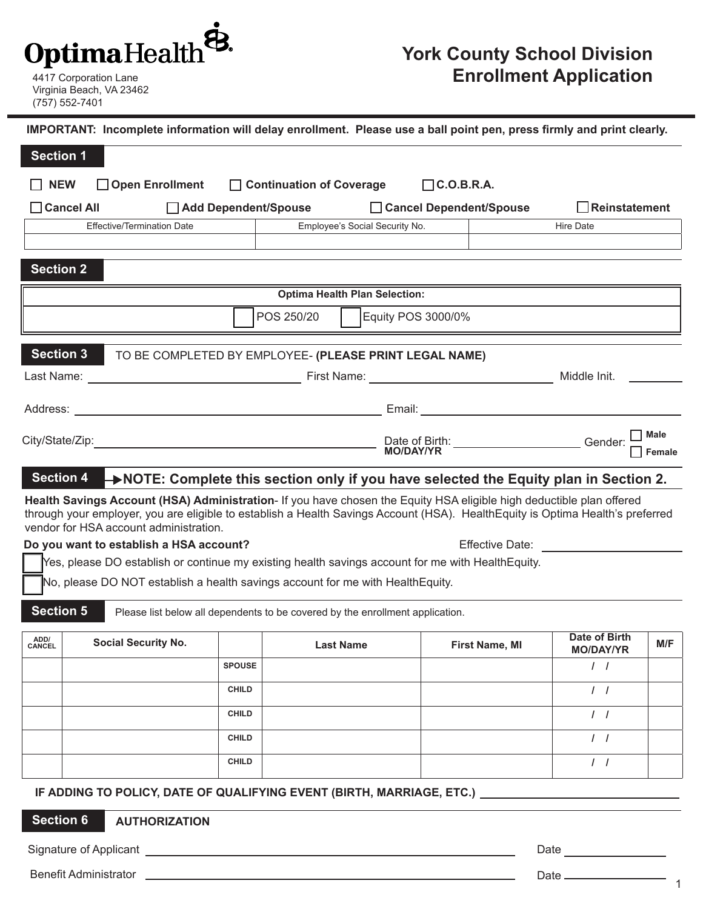## **OptimaHealth**

Virginia Beach, VA 23462 (757) 552-7401

## **York County School Division**  4417 Corporation Lane **Enrollment Application**

**Section 2 Optima Health Plan Selection:** POS 250/20 | Equity POS 3000/0% Effective/Termination Date **Employee's Social Security No.** Hire Date Email: Address: **Section 1 IMPORTANT: Incomplete information will delay enrollment. Please use a ball point pen, press firmly and print clearly. NEW Open Enrollment Cancel All Add Dependent/Spouse Cancel Dependent/Spouse Reinstatement Continuation of Coverage C.O.B.R.A. Section 3** TO BE COMPLETED BY EMPLOYEE- **(PLEASE PRINT LEGAL NAME)** Last Name: \_\_\_\_\_\_\_\_\_\_ Date of Birth: Gender: City/State/Zip: First Name: Middle Init. **MO/DAY/YR Section 4 NOTE: Complete this section only if you have selected the Equity plan in Section 2.** Effective Date: Yes, please DO establish or continue my existing health savings account for me with HealthEquity. **Health Savings Account (HSA) Administration**- If you have chosen the Equity HSA eligible high deductible plan offered through your employer, you are eligible to establish a Health Savings Account (HSA). HealthEquity is Optima Health's preferred vendor for HSA account administration. No, please DO NOT establish a health savings account for me with HealthEquity. **Do you want to establish a HSA account? Section 5** Please list below all dependents to be covered by the enrollment application. **IF ADDING TO POLICY, DATE OF QUALIFYING EVENT (BIRTH, MARRIAGE, ETC.) ADD/ CANCEL Social Security No. Last Name First Name, MI Date of Birth MO/DAY/YR M/F SPOUSE / / CHILD / / CHILD / / CHILD / / CHILD / / Section 6 AUTHORIZATION** Signature of Applicant Date of Applicant Date of Applicant Date of Applicant Date of Applicant Date of Applicant Benefit Administrator Date **Male Female**

1